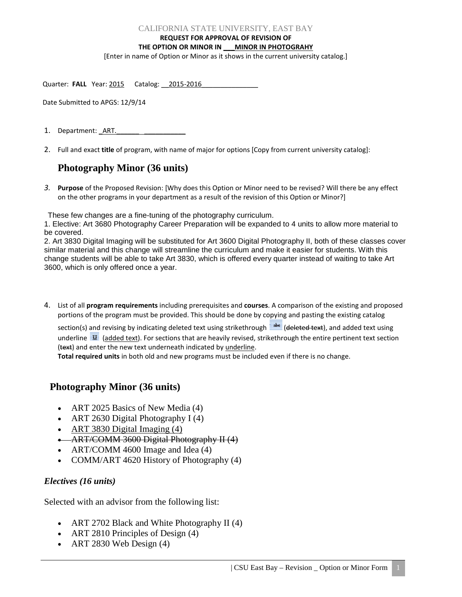#### CALIFORNIA STATE UNIVERSITY, EAST BAY

**REQUEST FOR APPROVAL OF REVISION OF** 

### **THE OPTION OR MINOR IN \_\_\_MINOR IN PHOTOGRAHY**

[Enter in name of Option or Minor as it shows in the current university catalog.]

| Quarter: FALL Year: 2015 Catalog: 2015-2016 |  |  |
|---------------------------------------------|--|--|
|---------------------------------------------|--|--|

Date Submitted to APGS: 12/9/14

1. Department: ART.

2. Full and exact **title** of program, with name of major for options [Copy from current university catalog]:

# **Photography Minor (36 units)**

*3.* **Purpose** of the Proposed Revision: [Why does this Option or Minor need to be revised? Will there be any effect on the other programs in your department as a result of the revision of this Option or Minor?]

These few changes are a fine-tuning of the photography curriculum.

1. Elective: Art 3680 Photography Career Preparation will be expanded to 4 units to allow more material to be covered.

2. Art 3830 Digital Imaging will be substituted for Art 3600 Digital Photography II, both of these classes cover similar material and this change will streamline the curriculum and make it easier for students. With this change students will be able to take Art 3830, which is offered every quarter instead of waiting to take Art 3600, which is only offered once a year.

4. List of all **program requirements** including prerequisites and **courses**. A comparison of the existing and proposed portions of the program must be provided. This should be done by copying and pasting the existing catalog

section(s) and revising by indicating deleted text using strikethrough **abs** (deleted text), and added text using underline  $\mathbf{U}$  (added text). For sections that are heavily revised, strikethrough the entire pertinent text section (text) and enter the new text underneath indicated by underline.

**Total required units** in both old and new programs must be included even if there is no change.

## **Photography Minor (36 units)**

- ART 2025 Basics of New Media (4)
- ART 2630 Digital Photography I (4)
- ART 3830 Digital Imaging (4)
- ART/COMM 3600 Digital Photography II (4)
- ART/COMM 4600 Image and Idea (4)
- COMM/ART 4620 History of Photography (4)

### *Electives (16 units)*

Selected with an advisor from the following list:

- ART 2702 Black and White Photography II (4)
- ART 2810 Principles of Design (4)
- ART 2830 Web Design  $(4)$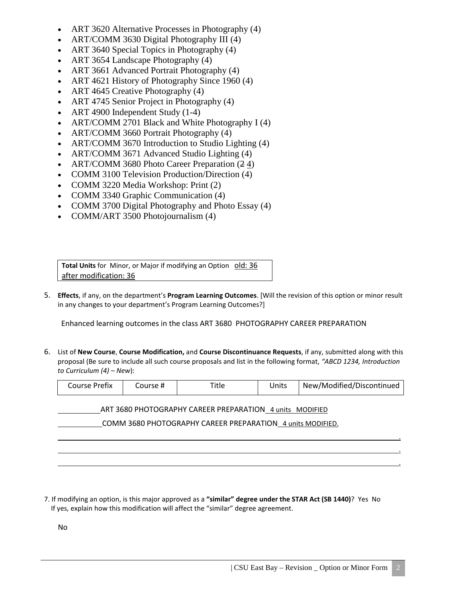- ART 3620 Alternative Processes in Photography (4)
- ART/COMM 3630 Digital Photography III (4)
- ART 3640 Special Topics in Photography (4)
- ART 3654 Landscape Photography (4)
- ART 3661 Advanced Portrait Photography (4)
- ART 4621 History of Photography Since 1960 (4)
- ART 4645 Creative Photography (4)
- ART 4745 Senior Project in Photography (4)
- ART 4900 Independent Study (1-4)
- ART/COMM 2701 Black and White Photography I (4)
- ART/COMM 3660 Portrait Photography (4)
- ART/COMM 3670 Introduction to Studio Lighting (4)
- ART/COMM 3671 Advanced Studio Lighting (4)
- ART/COMM 3680 Photo Career Preparation (2.4)
- COMM 3100 Television Production/Direction (4)
- COMM 3220 Media Workshop: Print (2)
- COMM 3340 Graphic Communication (4)
- COMM 3700 Digital Photography and Photo Essay (4)
- COMM/ART 3500 Photojournalism (4)

**Total Units** for Minor, or Major if modifying an Option old: 36 after modification: 36

5. **Effects**, if any, on the department's **Program Learning Outcomes**. [Will the revision of this option or minor result in any changes to your department's Program Learning Outcomes?]

Enhanced learning outcomes in the class ART 3680 PHOTOGRAPHY CAREER PREPARATION

6. List of **New Course**, **Course Modification,** and **Course Discontinuance Requests**, if any, submitted along with this proposal (Be sure to include all such course proposals and list in the following format, *"ABCD 1234, Introduction to Curriculum (4) – New*):

| Course Prefix | Course # | <b>Title</b> | Units | New/Modified/Discontinued |
|---------------|----------|--------------|-------|---------------------------|
|---------------|----------|--------------|-------|---------------------------|

 . . .

ART 3680 PHOTOGRAPHY CAREER PREPARATION 4 units MODIFIED

COMM 3680 PHOTOGRAPHY CAREER PREPARATION 4 units MODIFIED.

7. If modifying an option, is this major approved as a **"similar" degree under the STAR Act (SB 1440)**? Yes No If yes, explain how this modification will affect the "similar" degree agreement.

No